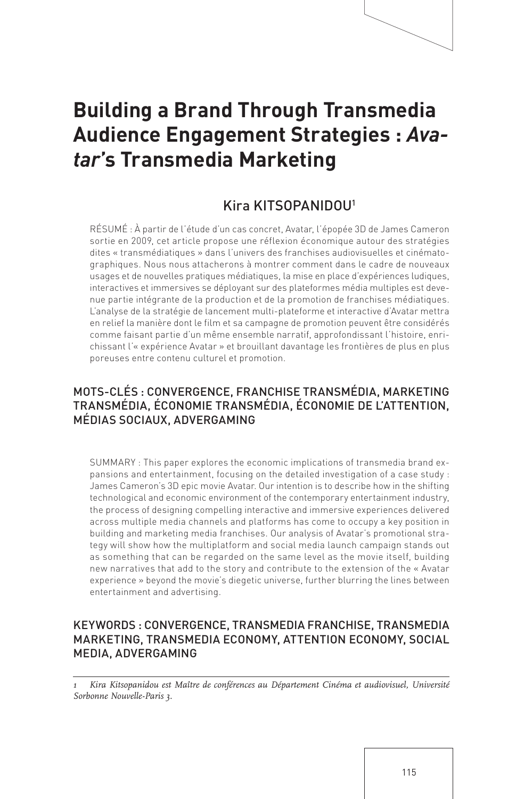# **Building a Brand Through Transmedia Audience Engagement Strategies :** *Avatar***'s Transmedia Marketing**

## Kira KITSOPANIDOU1

RÉSUMÉ : À partir de l'étude d'un cas concret, Avatar, l'épopée 3D de James Cameron sortie en 2009, cet article propose une réflexion économique autour des stratégies dites « transmédiatiques » dans l'univers des franchises audiovisuelles et cinématographiques. Nous nous attacherons à montrer comment dans le cadre de nouveaux usages et de nouvelles pratiques médiatiques, la mise en place d'expériences ludiques, interactives et immersives se déployant sur des plateformes média multiples est devenue partie intégrante de la production et de la promotion de franchises médiatiques. L'analyse de la stratégie de lancement multi-plateforme et interactive d'Avatar mettra en relief la manière dont le film et sa campagne de promotion peuvent être considérés comme faisant partie d'un même ensemble narratif, approfondissant l'histoire, enrichissant l'« expérience Avatar » et brouillant davantage les frontières de plus en plus poreuses entre contenu culturel et promotion.

## MOTS-CLÉS : CONVERGENCE, FRANCHISE TRANSMÉDIA, MARKETING TRANSMÉDIA, ÉCONOMIE TRANSMÉDIA, ÉCONOMIE DE L'ATTENTION, MÉDIAS SOCIAUX, ADVERGAMING

SUMMARY : This paper explores the economic implications of transmedia brand expansions and entertainment, focusing on the detailed investigation of a case study : James Cameron's 3D epic movie Avatar. Our intention is to describe how in the shifting technological and economic environment of the contemporary entertainment industry, the process of designing compelling interactive and immersive experiences delivered across multiple media channels and platforms has come to occupy a key position in building and marketing media franchises. Our analysis of Avatar's promotional strategy will show how the multiplatform and social media launch campaign stands out as something that can be regarded on the same level as the movie itself, building new narratives that add to the story and contribute to the extension of the « Avatar experience » beyond the movie's diegetic universe, further blurring the lines between entertainment and advertising.

## KEYWORDS : CONVERGENCE, TRANSMEDIA FRANCHISE, TRANSMEDIA MARKETING, TRANSMEDIA ECONOMY, ATTENTION ECONOMY, SOCIAL MEDIA, ADVERGAMING

*1 Kira Kitsopanidou est Maître de conférences au Département Cinéma et audiovisuel, Université Sorbonne Nouvelle-Paris 3.*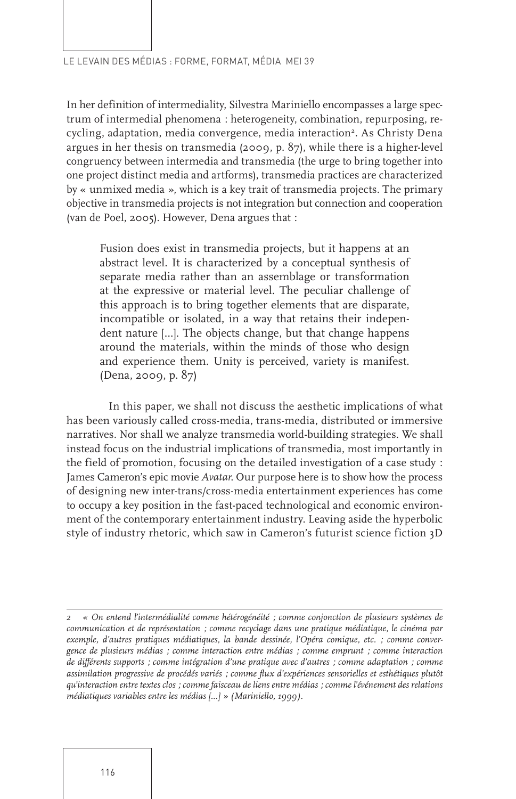In her definition of intermediality, Silvestra Mariniello encompasses a large spectrum of intermedial phenomena : heterogeneity, combination, repurposing, recycling, adaptation, media convergence, media interaction<sup>2</sup>. As Christy Dena argues in her thesis on transmedia (2009, p. 87), while there is a higher-level congruency between intermedia and transmedia (the urge to bring together into one project distinct media and artforms), transmedia practices are characterized by « unmixed media », which is a key trait of transmedia projects. The primary objective in transmedia projects is not integration but connection and cooperation (van de Poel, 2005). However, Dena argues that :

Fusion does exist in transmedia projects, but it happens at an abstract level. It is characterized by a conceptual synthesis of separate media rather than an assemblage or transformation at the expressive or material level. The peculiar challenge of this approach is to bring together elements that are disparate, incompatible or isolated, in a way that retains their independent nature […]. The objects change, but that change happens around the materials, within the minds of those who design and experience them. Unity is perceived, variety is manifest. (Dena, 2009, p. 87)

In this paper, we shall not discuss the aesthetic implications of what has been variously called cross-media, trans-media, distributed or immersive narratives. Nor shall we analyze transmedia world-building strategies. We shall instead focus on the industrial implications of transmedia, most importantly in the field of promotion, focusing on the detailed investigation of a case study : James Cameron's epic movie *Avatar*. Our purpose here is to show how the process of designing new inter-trans/cross-media entertainment experiences has come to occupy a key position in the fast-paced technological and economic environment of the contemporary entertainment industry. Leaving aside the hyperbolic style of industry rhetoric, which saw in Cameron's futurist science fiction 3D

*<sup>2 «</sup> On entend l'intermédialité comme hétérogénéité ; comme conjonction de plusieurs systèmes de communication et de représentation ; comme recyclage dans une pratique médiatique, le cinéma par exemple, d'autres pratiques médiatiques, la bande dessinée, l'Opéra comique, etc. ; comme convergence de plusieurs médias ; comme interaction entre médias ; comme emprunt ; comme interaction de différents supports ; comme intégration d'une pratique avec d'autres ; comme adaptation ; comme assimilation progressive de procédés variés ; comme flux d'expériences sensorielles et esthétiques plutôt qu'interaction entre textes clos ; comme faisceau de liens entre médias ; comme l'événement des relations médiatiques variables entre les médias [...] » (Mariniello, 1999).*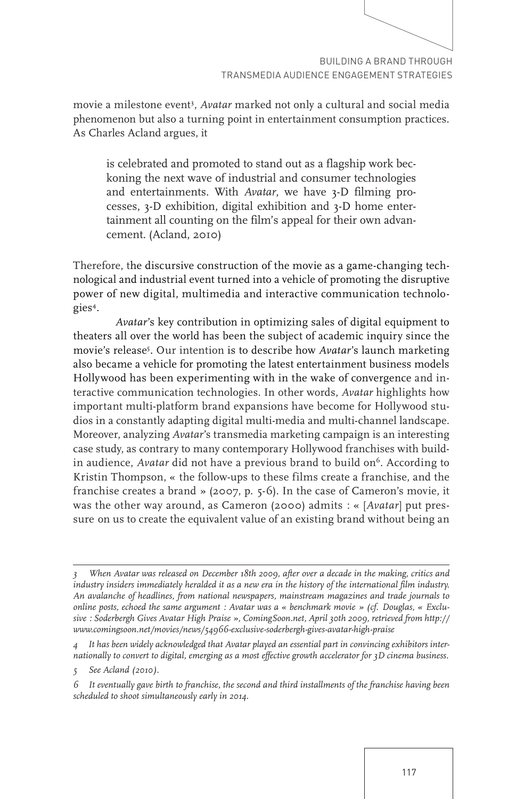movie a milestone event<sup>3</sup>, *Avatar* marked not only a cultural and social media phenomenon but also a turning point in entertainment consumption practices. As Charles Acland argues, it

is celebrated and promoted to stand out as a flagship work beckoning the next wave of industrial and consumer technologies and entertainments. With *Avatar*, we have 3-D filming processes, 3-D exhibition, digital exhibition and 3-D home entertainment all counting on the film's appeal for their own advancement. (Acland, 2010)

Therefore, the discursive construction of the movie as a game-changing technological and industrial event turned into a vehicle of promoting the disruptive power of new digital, multimedia and interactive communication technologies4.

*Avatar*'s key contribution in optimizing sales of digital equipment to theaters all over the world has been the subject of academic inquiry since the movie's release5 . Our intention is to describe how *Avatar*'s launch marketing also became a vehicle for promoting the latest entertainment business models Hollywood has been experimenting with in the wake of convergence and interactive communication technologies. In other words, *Avatar* highlights how important multi-platform brand expansions have become for Hollywood studios in a constantly adapting digital multi-media and multi-channel landscape. Moreover, analyzing *Avatar*'s transmedia marketing campaign is an interesting case study, as contrary to many contemporary Hollywood franchises with buildin audience, *Avatar* did not have a previous brand to build on<sup>6</sup>. According to Kristin Thompson, « the follow-ups to these films create a franchise, and the franchise creates a brand » (2007, p. 5-6). In the case of Cameron's movie, it was the other way around, as Cameron (2000) admits : « [*Avatar*] put pressure on us to create the equivalent value of an existing brand without being an

*<sup>3</sup> When Avatar was released on December 18th 2009, after over a decade in the making, critics and industry insiders immediately heralded it as a new era in the history of the international film industry. An avalanche of headlines, from national newspapers, mainstream magazines and trade journals to online posts, echoed the same argument : Avatar was a « benchmark movie » (cf. Douglas, « Exclusive : Soderbergh Gives Avatar High Praise », ComingSoon.net, April 30th 2009, retrieved from http:// www.comingsoon.net/movies/news/54966-exclusive-soderbergh-gives-avatar-high-praise*

*<sup>4</sup> It has been widely acknowledged that Avatar played an essential part in convincing exhibitors internationally to convert to digital, emerging as a most effective growth accelerator for 3D cinema business.*

*<sup>5</sup> See Acland (2010).*

*<sup>6</sup> It eventually gave birth to franchise, the second and third installments of the franchise having been scheduled to shoot simultaneously early in 2014.*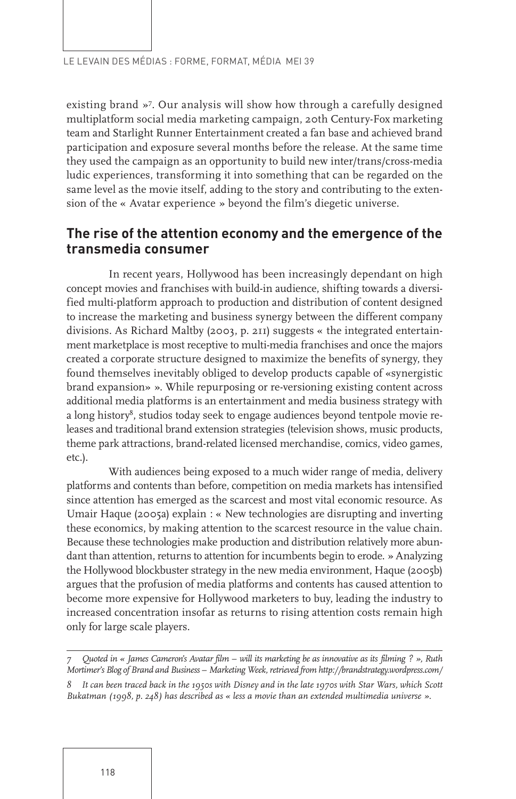existing brand »7 . Our analysis will show how through a carefully designed multiplatform social media marketing campaign, 20th Century-Fox marketing team and Starlight Runner Entertainment created a fan base and achieved brand participation and exposure several months before the release. At the same time they used the campaign as an opportunity to build new inter/trans/cross-media ludic experiences, transforming it into something that can be regarded on the same level as the movie itself, adding to the story and contributing to the extension of the « Avatar experience » beyond the film's diegetic universe.

## **The rise of the attention economy and the emergence of the transmedia consumer**

In recent years, Hollywood has been increasingly dependant on high concept movies and franchises with build-in audience, shifting towards a diversified multi-platform approach to production and distribution of content designed to increase the marketing and business synergy between the different company divisions. As Richard Maltby (2003, p. 211) suggests « the integrated entertainment marketplace is most receptive to multi-media franchises and once the majors created a corporate structure designed to maximize the benefits of synergy, they found themselves inevitably obliged to develop products capable of «synergistic brand expansion» ». While repurposing or re-versioning existing content across additional media platforms is an entertainment and media business strategy with a long history<sup>8</sup>, studios today seek to engage audiences beyond tentpole movie releases and traditional brand extension strategies (television shows, music products, theme park attractions, brand-related licensed merchandise, comics, video games, etc.).

With audiences being exposed to a much wider range of media, delivery platforms and contents than before, competition on media markets has intensified since attention has emerged as the scarcest and most vital economic resource. As Umair Haque (2005a) explain : « New technologies are disrupting and inverting these economics, by making attention to the scarcest resource in the value chain. Because these technologies make production and distribution relatively more abundant than attention, returns to attention for incumbents begin to erode. » Analyzing the Hollywood blockbuster strategy in the new media environment, Haque (2005b) argues that the profusion of media platforms and contents has caused attention to become more expensive for Hollywood marketers to buy, leading the industry to increased concentration insofar as returns to rising attention costs remain high only for large scale players.

*<sup>7</sup> Quoted in « James Cameron's Avatar film – will its marketing be as innovative as its filming ? », Ruth Mortimer's Blog of Brand and Business – Marketing Week, retrieved from http://brandstrategy.wordpress.com/*

*<sup>8</sup> It can been traced back in the 1950s with Disney and in the late 1970s with Star Wars, which Scott Bukatman (1998, p. 248) has described as « less a movie than an extended multimedia universe ».*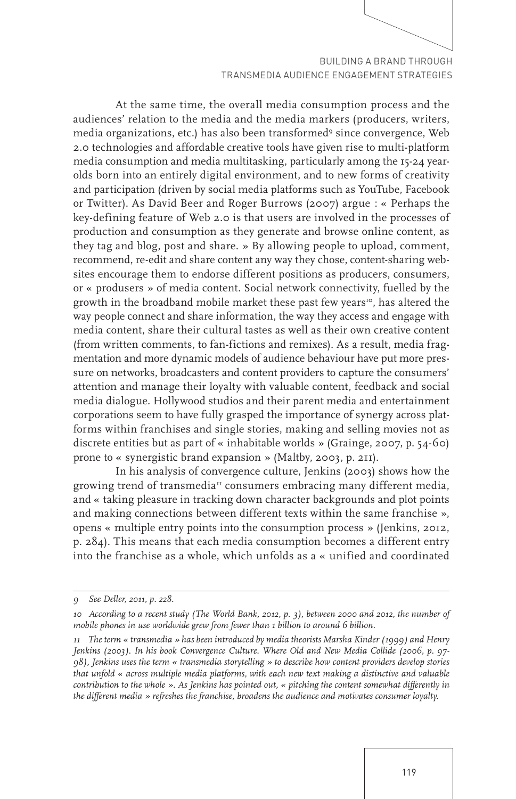At the same time, the overall media consumption process and the audiences' relation to the media and the media markers (producers, writers, media organizations, etc.) has also been transformed<sup>9</sup> since convergence, Web 2.0 technologies and affordable creative tools have given rise to multi-platform media consumption and media multitasking, particularly among the 15-24 yearolds born into an entirely digital environment, and to new forms of creativity and participation (driven by social media platforms such as YouTube, Facebook or Twitter). As David Beer and Roger Burrows (2007) argue : « Perhaps the key-defining feature of Web 2.0 is that users are involved in the processes of production and consumption as they generate and browse online content, as they tag and blog, post and share. » By allowing people to upload, comment, recommend, re-edit and share content any way they chose, content-sharing websites encourage them to endorse different positions as producers, consumers, or « produsers » of media content. Social network connectivity, fuelled by the growth in the broadband mobile market these past few years<sup>10</sup>, has altered the way people connect and share information, the way they access and engage with media content, share their cultural tastes as well as their own creative content (from written comments, to fan-fictions and remixes). As a result, media fragmentation and more dynamic models of audience behaviour have put more pressure on networks, broadcasters and content providers to capture the consumers' attention and manage their loyalty with valuable content, feedback and social media dialogue. Hollywood studios and their parent media and entertainment corporations seem to have fully grasped the importance of synergy across platforms within franchises and single stories, making and selling movies not as discrete entities but as part of « inhabitable worlds » (Grainge, 2007, p. 54-60) prone to « synergistic brand expansion » (Maltby, 2003, p. 211).

In his analysis of convergence culture, Jenkins (2003) shows how the growing trend of transmedia<sup>11</sup> consumers embracing many different media, and « taking pleasure in tracking down character backgrounds and plot points and making connections between different texts within the same franchise », opens « multiple entry points into the consumption process » (Jenkins, 2012, p. 284). This means that each media consumption becomes a different entry into the franchise as a whole, which unfolds as a « unified and coordinated

*<sup>9</sup> See Deller, 2011, p. 228.*

*<sup>10</sup> According to a recent study (The World Bank, 2012, p. 3), between 2000 and 2012, the number of mobile phones in use worldwide grew from fewer than 1 billion to around 6 billion.*

*<sup>11</sup> The term « transmedia » has been introduced by media theorists Marsha Kinder (1999) and Henry Jenkins (2003). In his book Convergence Culture. Where Old and New Media Collide (2006, p. 97-98), Jenkins uses the term « transmedia storytelling » to describe how content providers develop stories that unfold « across multiple media platforms, with each new text making a distinctive and valuable contribution to the whole ». As Jenkins has pointed out, « pitching the content somewhat differently in the different media » refreshes the franchise, broadens the audience and motivates consumer loyalty.*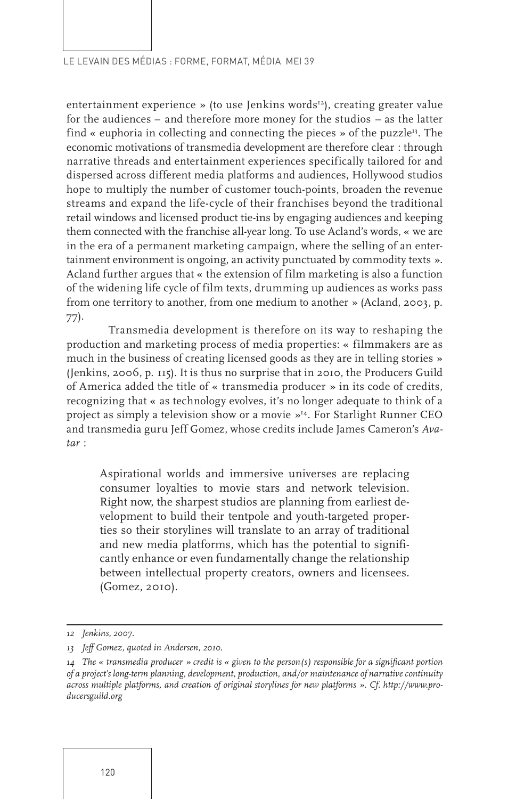entertainment experience » (to use Jenkins words<sup>12</sup>), creating greater value for the audiences – and therefore more money for the studios – as the latter find « euphoria in collecting and connecting the pieces » of the puzzle<sup>13</sup>. The economic motivations of transmedia development are therefore clear : through narrative threads and entertainment experiences specifically tailored for and dispersed across different media platforms and audiences, Hollywood studios hope to multiply the number of customer touch-points, broaden the revenue streams and expand the life-cycle of their franchises beyond the traditional retail windows and licensed product tie-ins by engaging audiences and keeping them connected with the franchise all-year long. To use Acland's words, « we are in the era of a permanent marketing campaign, where the selling of an entertainment environment is ongoing, an activity punctuated by commodity texts ». Acland further argues that « the extension of film marketing is also a function of the widening life cycle of film texts, drumming up audiences as works pass from one territory to another, from one medium to another » (Acland, 2003, p. 77).

Transmedia development is therefore on its way to reshaping the production and marketing process of media properties: « filmmakers are as much in the business of creating licensed goods as they are in telling stories » (Jenkins, 2006, p. 115). It is thus no surprise that in 2010, the Producers Guild of America added the title of « transmedia producer » in its code of credits, recognizing that « as technology evolves, it's no longer adequate to think of a project as simply a television show or a movie »<sup>14</sup>. For Starlight Runner CEO and transmedia guru Jeff Gomez, whose credits include James Cameron's *Avatar* :

Aspirational worlds and immersive universes are replacing consumer loyalties to movie stars and network television. Right now, the sharpest studios are planning from earliest development to build their tentpole and youth-targeted properties so their storylines will translate to an array of traditional and new media platforms, which has the potential to significantly enhance or even fundamentally change the relationship between intellectual property creators, owners and licensees. (Gomez, 2010).

*<sup>12</sup> Jenkins, 2007.*

*<sup>13</sup> Jeff Gomez, quoted in Andersen, 2010.*

*<sup>14</sup> The « transmedia producer » credit is « given to the person(s) responsible for a significant portion of a project's long-term planning, development, production, and/or maintenance of narrative continuity across multiple platforms, and creation of original storylines for new platforms ». Cf. http://www.producersguild.org*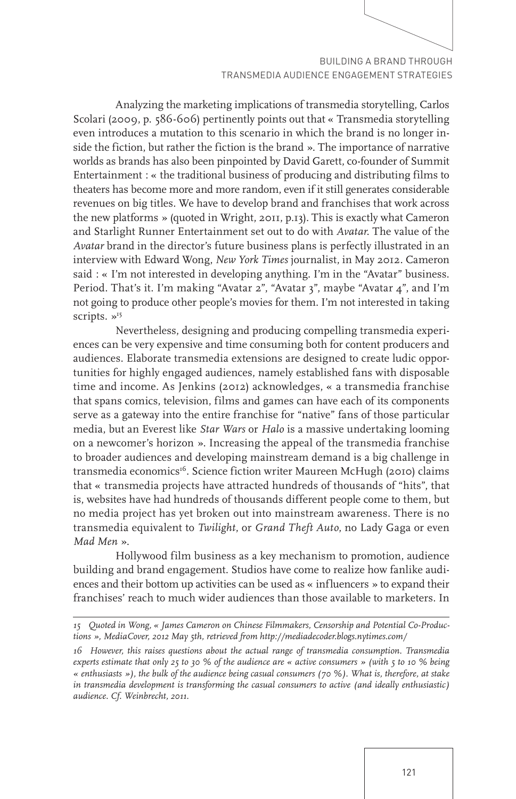Analyzing the marketing implications of transmedia storytelling, Carlos Scolari (2009, p. 586-606) pertinently points out that « Transmedia storytelling even introduces a mutation to this scenario in which the brand is no longer inside the fiction, but rather the fiction is the brand ». The importance of narrative worlds as brands has also been pinpointed by David Garett, co-founder of Summit Entertainment : « the traditional business of producing and distributing films to theaters has become more and more random, even if it still generates considerable revenues on big titles. We have to develop brand and franchises that work across the new platforms » (quoted in Wright, 2011, p.13). This is exactly what Cameron and Starlight Runner Entertainment set out to do with *Avatar*. The value of the *Avatar* brand in the director's future business plans is perfectly illustrated in an interview with Edward Wong, *New York Times* journalist, in May 2012. Cameron said : « I'm not interested in developing anything. I'm in the "Avatar" business. Period. That's it. I'm making "Avatar 2", "Avatar 3", maybe "Avatar 4", and I'm not going to produce other people's movies for them. I'm not interested in taking scripts.  $v^{15}$ 

Nevertheless, designing and producing compelling transmedia experiences can be very expensive and time consuming both for content producers and audiences. Elaborate transmedia extensions are designed to create ludic opportunities for highly engaged audiences, namely established fans with disposable time and income. As Jenkins (2012) acknowledges, « a transmedia franchise that spans comics, television, films and games can have each of its components serve as a gateway into the entire franchise for "native" fans of those particular media, but an Everest like *Star Wars* or *Halo* is a massive undertaking looming on a newcomer's horizon ». Increasing the appeal of the transmedia franchise to broader audiences and developing mainstream demand is a big challenge in transmedia economics<sup>16</sup>. Science fiction writer Maureen McHugh (2010) claims that « transmedia projects have attracted hundreds of thousands of "hits", that is, websites have had hundreds of thousands different people come to them, but no media project has yet broken out into mainstream awareness. There is no transmedia equivalent to *Twilight*, or *Grand Theft Auto*, no Lady Gaga or even *Mad Men* ».

Hollywood film business as a key mechanism to promotion, audience building and brand engagement. Studios have come to realize how fanlike audiences and their bottom up activities can be used as « influencers » to expand their franchises' reach to much wider audiences than those available to marketers. In

*<sup>15</sup> Quoted in Wong, « James Cameron on Chinese Filmmakers, Censorship and Potential Co-Productions », MediaCover, 2012 May 5th, retrieved from http://mediadecoder.blogs.nytimes.com/*

*<sup>16</sup> However, this raises questions about the actual range of transmedia consumption. Transmedia experts estimate that only 25 to 30 % of the audience are « active consumers » (with 5 to 10 % being « enthusiasts »), the bulk of the audience being casual consumers (70 %). What is, therefore, at stake in transmedia development is transforming the casual consumers to active (and ideally enthusiastic) audience. Cf. Weinbrecht, 2011.*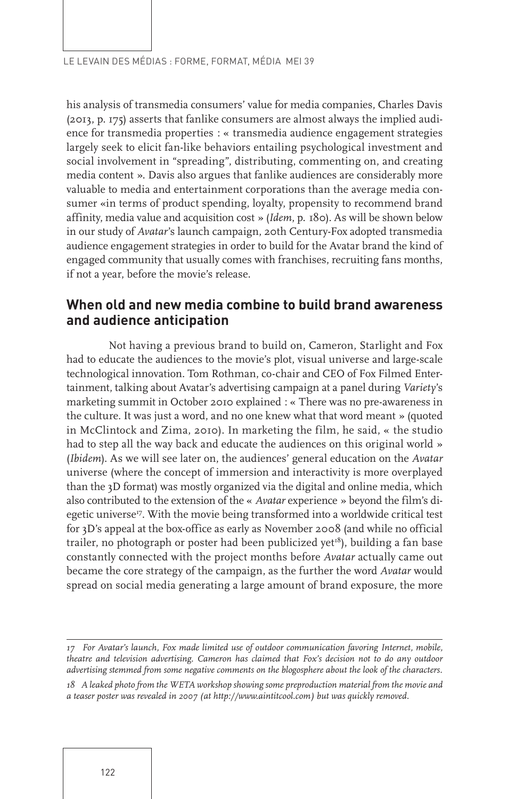his analysis of transmedia consumers' value for media companies, Charles Davis (2013, p. 175) asserts that fanlike consumers are almost always the implied audience for transmedia properties : « transmedia audience engagement strategies largely seek to elicit fan-like behaviors entailing psychological investment and social involvement in "spreading", distributing, commenting on, and creating media content ». Davis also argues that fanlike audiences are considerably more valuable to media and entertainment corporations than the average media consumer «in terms of product spending, loyalty, propensity to recommend brand affinity, media value and acquisition cost » (*Idem*, p. 180). As will be shown below in our study of *Avatar*'s launch campaign, 20th Century-Fox adopted transmedia audience engagement strategies in order to build for the Avatar brand the kind of engaged community that usually comes with franchises, recruiting fans months, if not a year, before the movie's release.

## **When old and new media combine to build brand awareness and audience anticipation**

Not having a previous brand to build on, Cameron, Starlight and Fox had to educate the audiences to the movie's plot, visual universe and large-scale technological innovation. Tom Rothman, co-chair and CEO of Fox Filmed Entertainment, talking about Avatar's advertising campaign at a panel during *Variety*'s marketing summit in October 2010 explained : « There was no pre-awareness in the culture. It was just a word, and no one knew what that word meant » (quoted in McClintock and Zima, 2010). In marketing the film, he said, « the studio had to step all the way back and educate the audiences on this original world » (*Ibidem*). As we will see later on, the audiences' general education on the *Avatar* universe (where the concept of immersion and interactivity is more overplayed than the 3D format) was mostly organized via the digital and online media, which also contributed to the extension of the « *Avatar* experience » beyond the film's diegetic universe<sup>17</sup>. With the movie being transformed into a worldwide critical test for 3D's appeal at the box-office as early as November 2008 (and while no official trailer, no photograph or poster had been publicized yet<sup>18</sup>), building a fan base constantly connected with the project months before *Avatar* actually came out became the core strategy of the campaign, as the further the word *Avatar* would spread on social media generating a large amount of brand exposure, the more

*<sup>17</sup> For Avatar's launch, Fox made limited use of outdoor communication favoring Internet, mobile, theatre and television advertising. Cameron has claimed that Fox's decision not to do any outdoor advertising stemmed from some negative comments on the blogosphere about the look of the characters.*

*<sup>18</sup> A leaked photo from the WETA workshop showing some preproduction material from the movie and a teaser poster was revealed in 2007 (at http://www.aintitcool.com) but was quickly removed.*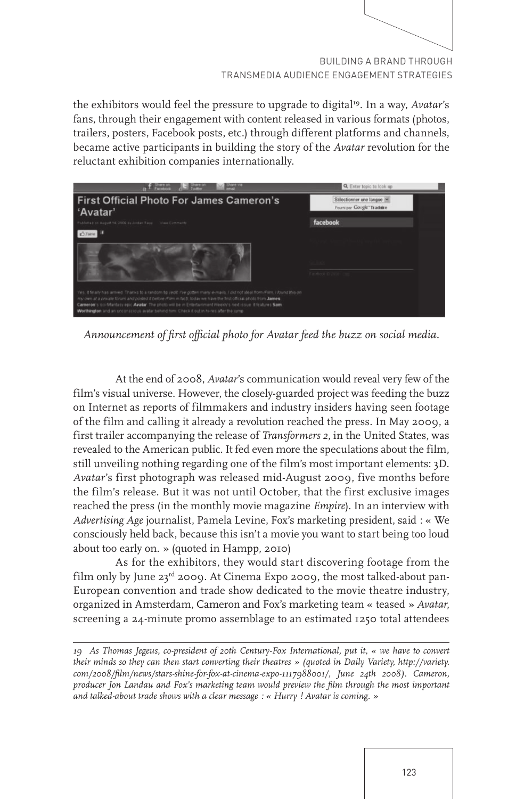

the exhibitors would feel the pressure to upgrade to digital<sup>19</sup>. In a way, *Avatar's* fans, through their engagement with content released in various formats (photos, trailers, posters, Facebook posts, etc.) through different platforms and channels, became active participants in building the story of the *Avatar* revolution for the reluctant exhibition companies internationally.

| <b>Representative Concern</b>                                                                                                                                                                                                                                                                                                                                                                                                                                   | Q. Enter topic to look up                              |
|-----------------------------------------------------------------------------------------------------------------------------------------------------------------------------------------------------------------------------------------------------------------------------------------------------------------------------------------------------------------------------------------------------------------------------------------------------------------|--------------------------------------------------------|
| <b>First Official Photo For James Cameron's</b><br>'Avatar'                                                                                                                                                                                                                                                                                                                                                                                                     | Sélectionner une langue<br>Fourni par Google" Traduire |
| Published on August 14, 2009 by Joshan Rays Visua Comments                                                                                                                                                                                                                                                                                                                                                                                                      | facebook                                               |
|                                                                                                                                                                                                                                                                                                                                                                                                                                                                 |                                                        |
|                                                                                                                                                                                                                                                                                                                                                                                                                                                                 | Finders D 2010                                         |
| Yes, If finally has arrived 'Thanks to a random fig redit: Ne gotten many e-mails, I did not steal from Film, I found this on<br>my own at a private forum and posted if before (Film in fact), today we have the first official photo from Jannes<br>Carneron's scriftfantasy epic Awater. The photo will be in Entertainment Weekly's next is sue it features Sam<br>Worthington and an unconscious avatar sehind him. Check it out in hi-res after the jump. |                                                        |

*Announcement of first official photo for Avatar feed the buzz on social media.*

At the end of 2008, *Avatar*'s communication would reveal very few of the film's visual universe. However, the closely-guarded project was feeding the buzz on Internet as reports of filmmakers and industry insiders having seen footage of the film and calling it already a revolution reached the press. In May 2009, a first trailer accompanying the release of *Transformers 2*, in the United States, was revealed to the American public. It fed even more the speculations about the film, still unveiling nothing regarding one of the film's most important elements: 3D. *Avatar*'s first photograph was released mid-August 2009, five months before the film's release. But it was not until October, that the first exclusive images reached the press (in the monthly movie magazine *Empire*). In an interview with *Advertising Age* journalist, Pamela Levine, Fox's marketing president, said : « We consciously held back, because this isn't a movie you want to start being too loud about too early on. » (quoted in Hampp, 2010)

As for the exhibitors, they would start discovering footage from the film only by June 23<sup>rd</sup> 2009. At Cinema Expo 2009, the most talked-about pan-European convention and trade show dedicated to the movie theatre industry, organized in Amsterdam, Cameron and Fox's marketing team « teased » *Avatar*, screening a 24-minute promo assemblage to an estimated 1250 total attendees

*<sup>19</sup> As Thomas Jegeus, co-president of 20th Century-Fox International, put it, « we have to convert their minds so they can then start converting their theatres » (quoted in Daily Variety, http://variety. com/2008/film/news/stars-shine-for-fox-at-cinema-expo-1117988001/, June 24th 2008). Cameron, producer Jon Landau and Fox's marketing team would preview the film through the most important and talked-about trade shows with a clear message : « Hurry ! Avatar is coming. »*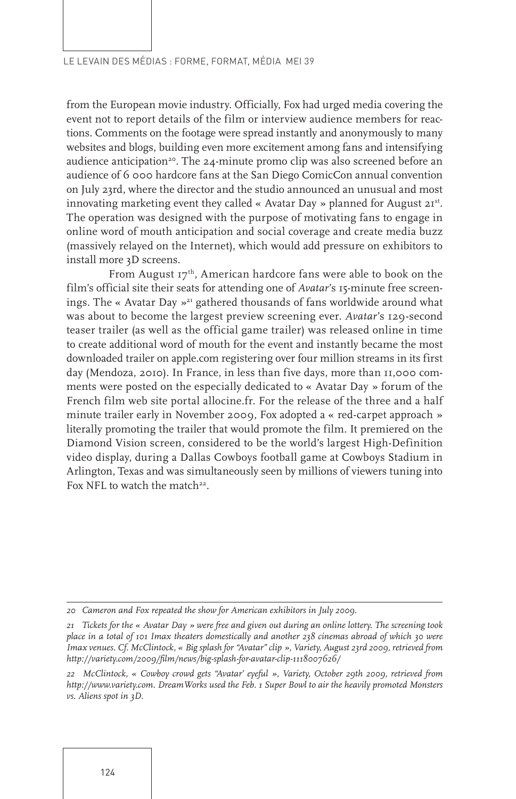from the European movie industry. Officially, Fox had urged media covering the event not to report details of the film or interview audience members for reactions. Comments on the footage were spread instantly and anonymously to many websites and blogs, building even more excitement among fans and intensifying audience anticipation<sup>20</sup>. The 24-minute promo clip was also screened before an audience of 6 000 hardcore fans at the San Diego ComicCon annual convention on July 23rd, where the director and the studio announced an unusual and most innovating marketing event they called « Avatar Day » planned for August  $2I<sup>st</sup>$ . The operation was designed with the purpose of motivating fans to engage in online word of mouth anticipation and social coverage and create media buzz (massively relayed on the Internet), which would add pressure on exhibitors to install more 3D screens.

From August  $17<sup>th</sup>$ , American hardcore fans were able to book on the film's official site their seats for attending one of *Avatar*'s 15-minute free screenings. The « Avatar Day  $x^2$  gathered thousands of fans worldwide around what was about to become the largest preview screening ever. *Avatar*'s 129-second teaser trailer (as well as the official game trailer) was released online in time to create additional word of mouth for the event and instantly became the most downloaded trailer on apple.com registering over four million streams in its first day (Mendoza, 2010). In France, in less than five days, more than 11,000 comments were posted on the especially dedicated to « Avatar Day » forum of the French film web site portal allocine.fr. For the release of the three and a half minute trailer early in November 2009, Fox adopted a « red-carpet approach » literally promoting the trailer that would promote the film. It premiered on the Diamond Vision screen, considered to be the world's largest High-Definition video display, during a Dallas Cowboys football game at Cowboys Stadium in Arlington, Texas and was simultaneously seen by millions of viewers tuning into Fox NFL to watch the match<sup>22</sup>.

*<sup>20</sup> Cameron and Fox repeated the show for American exhibitors in July 2009.*

*<sup>21</sup> Tickets for the « Avatar Day » were free and given out during an online lottery. The screening took place in a total of 101 Imax theaters domestically and another 238 cinemas abroad of which 30 were Imax venues. Cf. McClintock, « Big splash for "Avatar" clip », Variety, August 23rd 2009, retrieved from http://variety.com/2009/film/news/big-splash-for-avatar-clip-1118007626/*

*<sup>22</sup> McClintock, « Cowboy crowd gets "Avatar' eyeful », Variety, October 29th 2009, retrieved from http://www.variety.com. DreamWorks used the Feb. 1 Super Bowl to air the heavily promoted Monsters vs. Aliens spot in 3D.*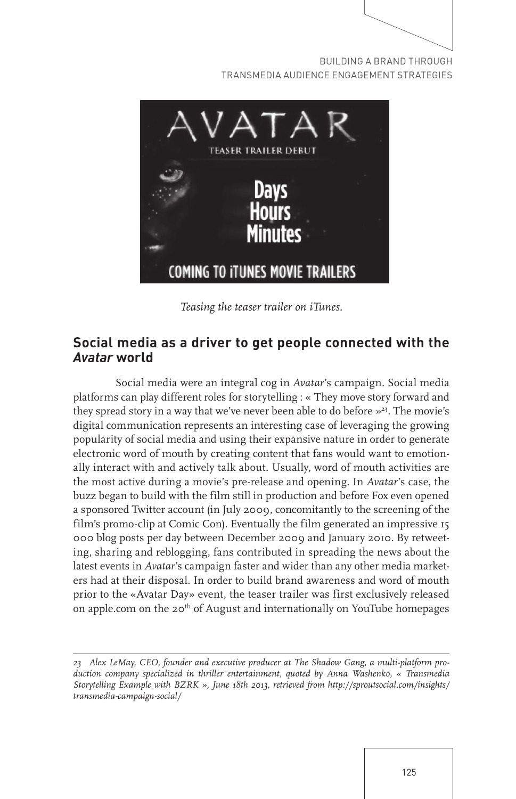

TRANSMEDIA AUDIENCE ENGAGEMENT STRATEGIES



*Teasing the teaser trailer on iTunes.*

## **Social media as a driver to get people connected with the**  *Avatar* **world**

Social media were an integral cog in *Avatar*'s campaign. Social media platforms can play different roles for storytelling : « They move story forward and they spread story in a way that we've never been able to do before  $\frac{1}{2}$ . The movie's digital communication represents an interesting case of leveraging the growing popularity of social media and using their expansive nature in order to generate electronic word of mouth by creating content that fans would want to emotionally interact with and actively talk about. Usually, word of mouth activities are the most active during a movie's pre-release and opening. In *Avatar*'s case, the buzz began to build with the film still in production and before Fox even opened a sponsored Twitter account (in July 2009, concomitantly to the screening of the film's promo-clip at Comic Con). Eventually the film generated an impressive 15 000 blog posts per day between December 2009 and January 2010. By retweeting, sharing and reblogging, fans contributed in spreading the news about the latest events in *Avatar*'s campaign faster and wider than any other media marketers had at their disposal. In order to build brand awareness and word of mouth prior to the «Avatar Day» event, the teaser trailer was first exclusively released on apple.com on the  $20<sup>th</sup>$  of August and internationally on YouTube homepages

*<sup>23</sup> Alex LeMay, CEO, founder and executive producer at The Shadow Gang, a multi-platform production company specialized in thriller entertainment, quoted by Anna Washenko, « Transmedia Storytelling Example with BZRK », June 18th 2013, retrieved from http://sproutsocial.com/insights/ transmedia-campaign-social/*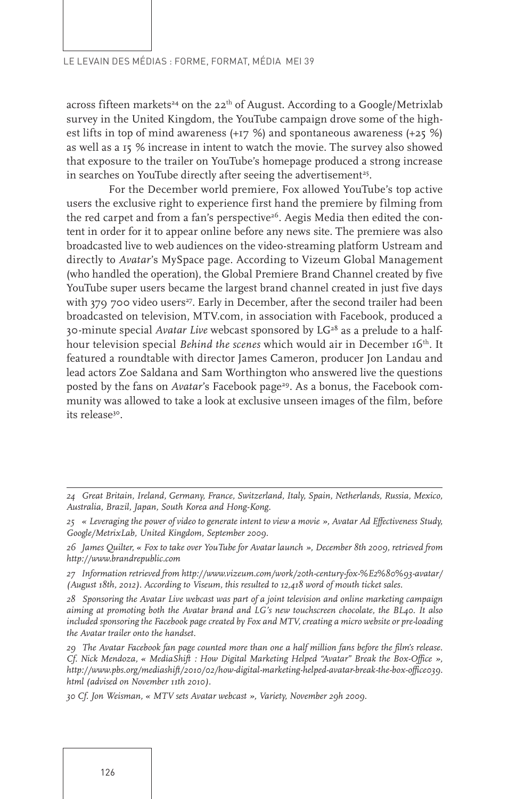across fifteen markets<sup>24</sup> on the  $22<sup>th</sup>$  of August. According to a Google/Metrixlab survey in the United Kingdom, the YouTube campaign drove some of the highest lifts in top of mind awareness (+17 %) and spontaneous awareness (+25 %) as well as a 15 % increase in intent to watch the movie. The survey also showed that exposure to the trailer on YouTube's homepage produced a strong increase in searches on YouTube directly after seeing the advertisement<sup>25</sup>.

For the December world premiere, Fox allowed YouTube's top active users the exclusive right to experience first hand the premiere by filming from the red carpet and from a fan's perspective<sup>26</sup>. Aegis Media then edited the content in order for it to appear online before any news site. The premiere was also broadcasted live to web audiences on the video-streaming platform Ustream and directly to *Avatar*'s MySpace page. According to Vizeum Global Management (who handled the operation), the Global Premiere Brand Channel created by five YouTube super users became the largest brand channel created in just five days with 379 700 video users<sup>27</sup>. Early in December, after the second trailer had been broadcasted on television, MTV.com, in association with Facebook, produced a 30-minute special *Avatar Live* webcast sponsored by LG<sup>28</sup> as a prelude to a halfhour television special *Behind the scenes* which would air in December 16<sup>th</sup>. It featured a roundtable with director James Cameron, producer Jon Landau and lead actors Zoe Saldana and Sam Worthington who answered live the questions posted by the fans on *Avatar's* Facebook page<sup>29</sup>. As a bonus, the Facebook community was allowed to take a look at exclusive unseen images of the film, before its release<sup>30</sup>.

*<sup>24</sup> Great Britain, Ireland, Germany, France, Switzerland, Italy, Spain, Netherlands, Russia, Mexico, Australia, Brazil, Japan, South Korea and Hong-Kong.* 

*<sup>25 «</sup> Leveraging the power of video to generate intent to view a movie », Avatar Ad Effectiveness Study, Google/MetrixLab, United Kingdom, September 2009.* 

*<sup>26</sup> James Quilter, « Fox to take over YouTube for Avatar launch », December 8th 2009, retrieved from http://www.brandrepublic.com*

*<sup>27</sup> Information retrieved from http://www.vizeum.com/work/20th-century-fox-%E2%80%93-avatar/ (August 18th, 2012). According to Viseum, this resulted to 12,418 word of mouth ticket sales.*

*<sup>28</sup> Sponsoring the Avatar Live webcast was part of a joint television and online marketing campaign aiming at promoting both the Avatar brand and LG's new touchscreen chocolate, the BL40. It also included sponsoring the Facebook page created by Fox and MTV, creating a micro website or pre-loading the Avatar trailer onto the handset.*

*<sup>29</sup> The Avatar Facebook fan page counted more than one a half million fans before the film's release. Cf. Nick Mendoza, « MediaShift : How Digital Marketing Helped "Avatar" Break the Box-Office », http://www.pbs.org/mediashift/2010/02/how-digital-marketing-helped-avatar-break-the-box-office039. html (advised on November 11th 2010).*

*<sup>30</sup> Cf. Jon Weisman, « MTV sets Avatar webcast », Variety, November 29h 2009.*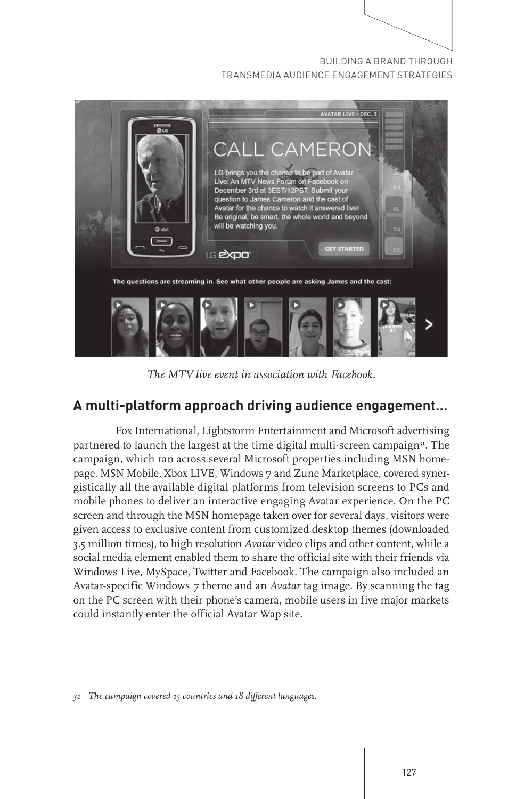

*The MTV live event in association with Facebook.*

## **A multi-platform approach driving audience engagement…**

Fox International, Lightstorm Entertainment and Microsoft advertising partnered to launch the largest at the time digital multi-screen campaign<sup>31</sup>. The campaign, which ran across several Microsoft properties including MSN homepage, MSN Mobile, Xbox LIVE, Windows 7 and Zune Marketplace, covered synergistically all the available digital platforms from television screens to PCs and mobile phones to deliver an interactive engaging Avatar experience. On the PC screen and through the MSN homepage taken over for several days, visitors were given access to exclusive content from customized desktop themes (downloaded 3.5 million times), to high resolution *Avatar* video clips and other content, while a social media element enabled them to share the official site with their friends via Windows Live, MySpace, Twitter and Facebook. The campaign also included an Avatar-specific Windows 7 theme and an *Avatar* tag image. By scanning the tag on the PC screen with their phone's camera, mobile users in five major markets could instantly enter the official Avatar Wap site.

*<sup>31</sup> The campaign covered 15 countries and 18 different languages.*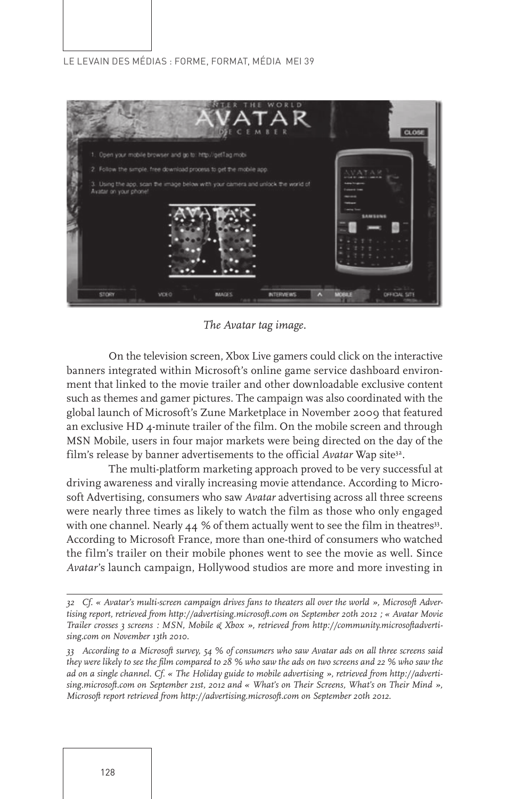

*The Avatar tag image.* 

On the television screen, Xbox Live gamers could click on the interactive banners integrated within Microsoft's online game service dashboard environment that linked to the movie trailer and other downloadable exclusive content such as themes and gamer pictures. The campaign was also coordinated with the global launch of Microsoft's Zune Marketplace in November 2009 that featured an exclusive HD 4-minute trailer of the film. On the mobile screen and through MSN Mobile, users in four major markets were being directed on the day of the film's release by banner advertisements to the official *Avatar* Wap site<sup>32</sup>.

The multi-platform marketing approach proved to be very successful at driving awareness and virally increasing movie attendance. According to Microsoft Advertising, consumers who saw *Avatar* advertising across all three screens were nearly three times as likely to watch the film as those who only engaged with one channel. Nearly  $44 \%$  of them actually went to see the film in theatres<sup>33</sup>. According to Microsoft France, more than one-third of consumers who watched the film's trailer on their mobile phones went to see the movie as well. Since *Avatar*'s launch campaign, Hollywood studios are more and more investing in

*<sup>32</sup> Cf. « Avatar's multi-screen campaign drives fans to theaters all over the world », Microsoft Advertising report, retrieved from http://advertising.microsoft.com on September 20th 2012 ; « Avatar Movie Trailer crosses 3 screens : MSN, Mobile & Xbox », retrieved from http://community.microsoftadvertising.com on November 13th 2010.*

*<sup>33</sup> According to a Microsoft survey, 54 % of consumers who saw Avatar ads on all three screens said they were likely to see the film compared to 28 % who saw the ads on two screens and 22 % who saw the ad on a single channel. Cf. « The Holiday guide to mobile advertising », retrieved from http://advertising.microsoft.com on September 21st, 2012 and « What's on Their Screens, What's on Their Mind », Microsoft report retrieved from http://advertising.microsoft.com on September 20th 2012.*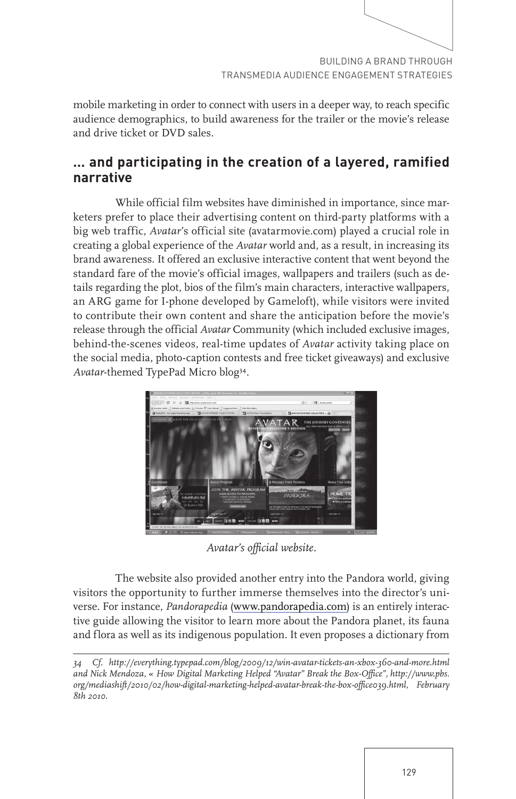mobile marketing in order to connect with users in a deeper way, to reach specific audience demographics, to build awareness for the trailer or the movie's release and drive ticket or DVD sales.

## **… and participating in the creation of a layered, ramified narrative**

While official film websites have diminished in importance, since marketers prefer to place their advertising content on third-party platforms with a big web traffic, *Avatar*'s official site (avatarmovie.com) played a crucial role in creating a global experience of the *Avatar* world and, as a result, in increasing its brand awareness. It offered an exclusive interactive content that went beyond the standard fare of the movie's official images, wallpapers and trailers (such as details regarding the plot, bios of the film's main characters, interactive wallpapers, an ARG game for I-phone developed by Gameloft), while visitors were invited to contribute their own content and share the anticipation before the movie's release through the official *Avatar* Community (which included exclusive images, behind-the-scenes videos, real-time updates of *Avatar* activity taking place on the social media, photo-caption contests and free ticket giveaways) and exclusive *Avatar*-themed TypePad Micro blog34.



*Avatar's official website.*

The website also provided another entry into the Pandora world, giving visitors the opportunity to further immerse themselves into the director's universe. For instance, *Pandorapedia* (www.pandorapedia.com) is an entirely interactive guide allowing the visitor to learn more about the Pandora planet, its fauna and flora as well as its indigenous population. It even proposes a dictionary from

*<sup>34</sup> Cf. http://everything.typepad.com/blog/2009/12/win-avatar-tickets-an-xbox-360-and-more.html and Nick Mendoza, « How Digital Marketing Helped "Avatar" Break the Box-Office", http://www.pbs. org/mediashift/2010/02/how-digital-marketing-helped-avatar-break-the-box-office039.html, February 8th 2010.*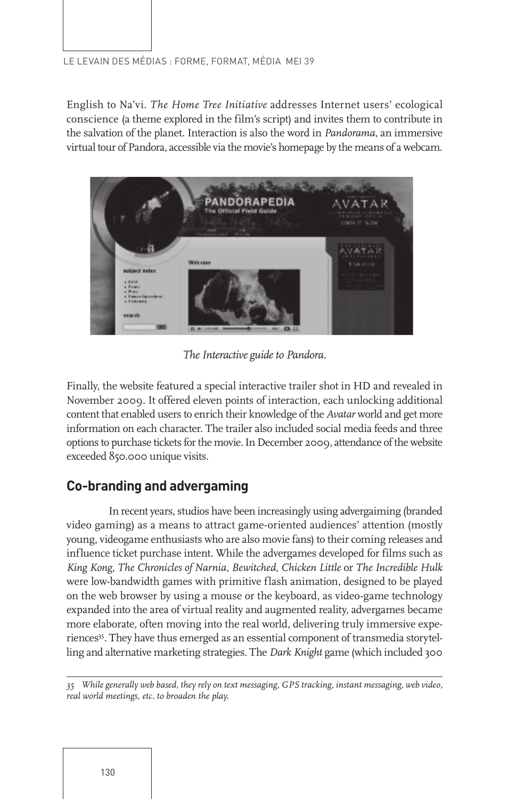English to Na'vi. *The Home Tree Initiative* addresses Internet users' ecological conscience (a theme explored in the film's script) and invites them to contribute in the salvation of the planet. Interaction is also the word in *Pandorama*, an immersive virtual tour of Pandora, accessible via the movie's homepage by the means of a webcam.



*The Interactive guide to Pandora.*

Finally, the website featured a special interactive trailer shot in HD and revealed in November 2009. It offered eleven points of interaction, each unlocking additional content that enabled users to enrich their knowledge of the *Avatar* world and get more information on each character. The trailer also included social media feeds and three options to purchase tickets for the movie. In December 2009, attendance of the website exceeded 850.000 unique visits.

## **Co-branding and advergaming**

In recent years, studios have been increasingly using advergaiming (branded video gaming) as a means to attract game-oriented audiences' attention (mostly young, videogame enthusiasts who are also movie fans) to their coming releases and influence ticket purchase intent. While the advergames developed for films such as *King Kong*, *The Chronicles of Narnia*, *Bewitched*, *Chicken Little* or *The Incredible Hulk* were low-bandwidth games with primitive flash animation, designed to be played on the web browser by using a mouse or the keyboard, as video-game technology expanded into the area of virtual reality and augmented reality, advergames became more elaborate, often moving into the real world, delivering truly immersive experiences<sup>35</sup>. They have thus emerged as an essential component of transmedia storytelling and alternative marketing strategies. The *Dark Knight* game (which included 300

*35 While generally web based, they rely on text messaging, GPS tracking, instant messaging, web video, real world meetings, etc. to broaden the play.*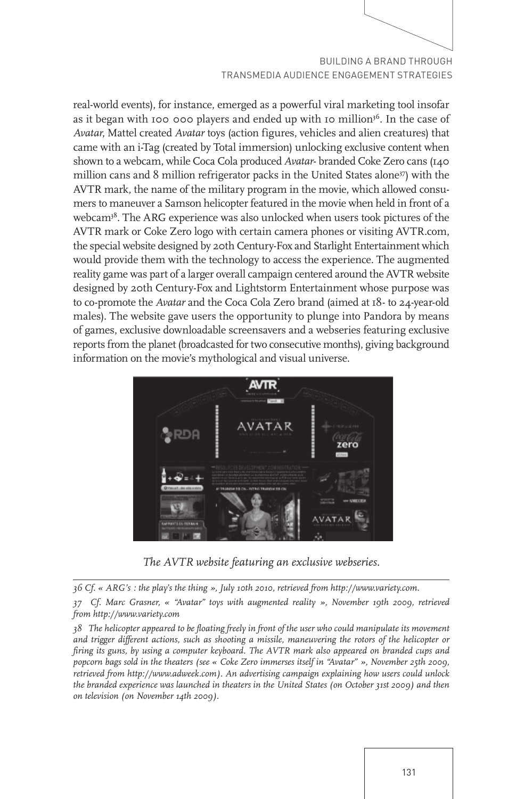real-world events), for instance, emerged as a powerful viral marketing tool insofar as it began with 100 000 players and ended up with 10 million<sup>36</sup>. In the case of *Avatar*, Mattel created *Avatar* toys (action figures, vehicles and alien creatures) that came with an i-Tag (created by Total immersion) unlocking exclusive content when shown to a webcam, while Coca Cola produced *Avatar*- branded Coke Zero cans (140 million cans and 8 million refrigerator packs in the United States alone<sup>37</sup>) with the AVTR mark, the name of the military program in the movie, which allowed consumers to maneuver a Samson helicopter featured in the movie when held in front of a webcam<sup>38</sup>. The ARG experience was also unlocked when users took pictures of the AVTR mark or Coke Zero logo with certain camera phones or visiting AVTR.com, the special website designed by 20th Century-Fox and Starlight Entertainment which would provide them with the technology to access the experience. The augmented reality game was part of a larger overall campaign centered around the AVTR website designed by 20th Century-Fox and Lightstorm Entertainment whose purpose was to co-promote the *Avatar* and the Coca Cola Zero brand (aimed at 18- to 24-year-old males). The website gave users the opportunity to plunge into Pandora by means of games, exclusive downloadable screensavers and a webseries featuring exclusive reports from the planet (broadcasted for two consecutive months), giving background information on the movie's mythological and visual universe.



*The AVTR website featuring an exclusive webseries.*

*36 Cf. « ARG's : the play's the thing », July 10th 2010, retrieved from http://www.variety.com.*

*37 Cf. Marc Grasner, « "Avatar" toys with augmented reality », November 19th 2009, retrieved from http://www.variety.com*

*38 The helicopter appeared to be floating freely in front of the user who could manipulate its movement and trigger different actions, such as shooting a missile, maneuvering the rotors of the helicopter or firing its guns, by using a computer keyboard. The AVTR mark also appeared on branded cups and popcorn bags sold in the theaters (see « Coke Zero immerses itself in "Avatar" », November 25th 2009, retrieved from http://www.adweek.com). An advertising campaign explaining how users could unlock the branded experience was launched in theaters in the United States (on October 31st 2009) and then on television (on November 14th 2009).*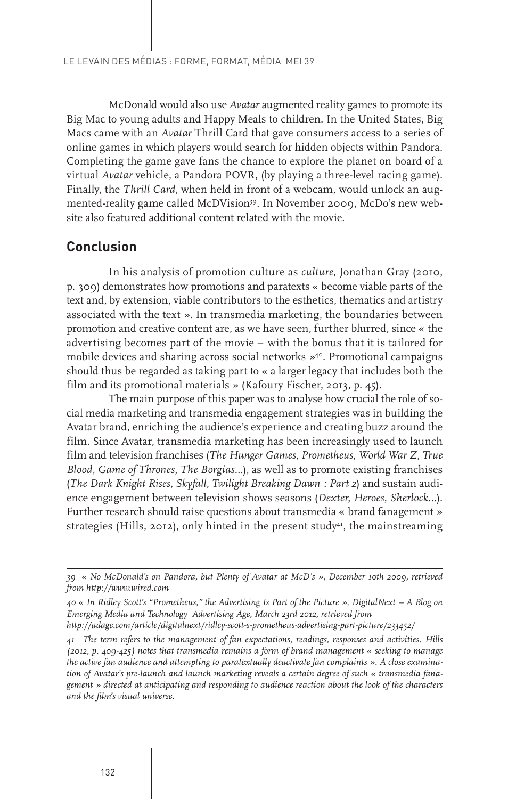McDonald would also use *Avatar* augmented reality games to promote its Big Mac to young adults and Happy Meals to children. In the United States, Big Macs came with an *Avatar* Thrill Card that gave consumers access to a series of online games in which players would search for hidden objects within Pandora. Completing the game gave fans the chance to explore the planet on board of a virtual *Avatar* vehicle, a Pandora POVR, (by playing a three-level racing game). Finally, the *Thrill Card*, when held in front of a webcam, would unlock an augmented-reality game called McDVision<sup>39</sup>. In November 2009, McDo's new website also featured additional content related with the movie.

## **Conclusion**

In his analysis of promotion culture as *culture*, Jonathan Gray (2010, p. 309) demonstrates how promotions and paratexts « become viable parts of the text and, by extension, viable contributors to the esthetics, thematics and artistry associated with the text ». In transmedia marketing, the boundaries between promotion and creative content are, as we have seen, further blurred, since « the advertising becomes part of the movie – with the bonus that it is tailored for mobile devices and sharing across social networks »<sup>40</sup>. Promotional campaigns should thus be regarded as taking part to « a larger legacy that includes both the film and its promotional materials » (Kafoury Fischer, 2013, p. 45).

The main purpose of this paper was to analyse how crucial the role of social media marketing and transmedia engagement strategies was in building the Avatar brand, enriching the audience's experience and creating buzz around the film. Since Avatar, transmedia marketing has been increasingly used to launch film and television franchises (*The Hunger Games*, *Prometheus*, *World War Z*, *True Blood*, *Game of Thrones*, *The Borgias*…), as well as to promote existing franchises (*The Dark Knight Rises*, *Skyfall*, *Twilight Breaking Dawn : Part 2*) and sustain audience engagement between television shows seasons (*Dexter*, *Heroes*, *Sherlock*…). Further research should raise questions about transmedia « brand fanagement » strategies (Hills, 2012), only hinted in the present study<sup>41</sup>, the mainstreaming

*<sup>39 «</sup> No McDonald's on Pandora, but Plenty of Avatar at McD's », December 10th 2009, retrieved from http://www.wired.com*

*<sup>40 «</sup> In Ridley Scott's "Prometheus," the Advertising Is Part of the Picture », DigitalNext – A Blog on Emerging Media and Technology Advertising Age, March 23rd 2012, retrieved from*

*http://adage.com/article/digitalnext/ridley-scott-s-prometheus-advertising-part-picture/233452/*

*<sup>41</sup> The term refers to the management of fan expectations, readings, responses and activities. Hills (2012, p. 409-425) notes that transmedia remains a form of brand management « seeking to manage the active fan audience and attempting to paratextually deactivate fan complaints ». A close examination of Avatar's pre-launch and launch marketing reveals a certain degree of such « transmedia fanagement » directed at anticipating and responding to audience reaction about the look of the characters and the film's visual universe.*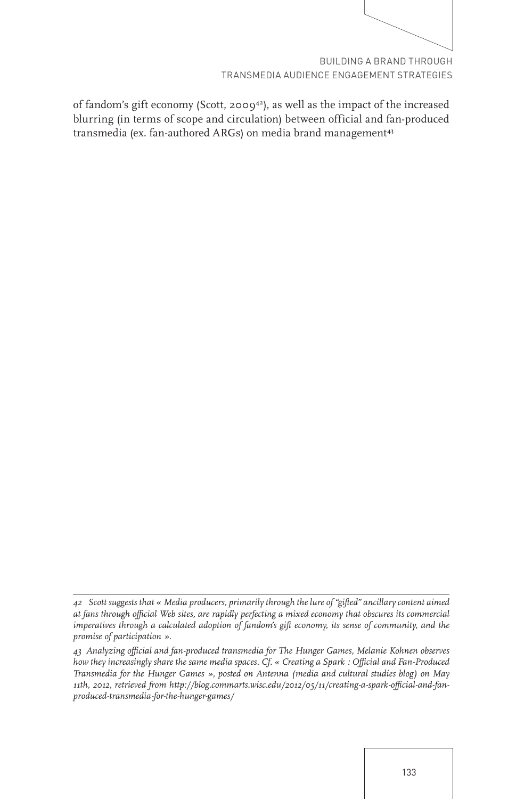of fandom's gift economy (Scott, 200942), as well as the impact of the increased blurring (in terms of scope and circulation) between official and fan-produced transmedia (ex. fan-authored ARGs) on media brand management<sup>43</sup>

*<sup>42</sup> Scott suggests that « Media producers, primarily through the lure of "gifted" ancillary content aimed at fans through official Web sites, are rapidly perfecting a mixed economy that obscures its commercial imperatives through a calculated adoption of fandom's gift economy, its sense of community, and the promise of participation ».*

*<sup>43</sup> Analyzing official and fan-produced transmedia for The Hunger Games, Melanie Kohnen observes how they increasingly share the same media spaces. Cf. « Creating a Spark : Official and Fan-Produced Transmedia for the Hunger Games », posted on Antenna (media and cultural studies blog) on May 11th, 2012, retrieved from http://blog.commarts.wisc.edu/2012/05/11/creating-a-spark-official-and-fanproduced-transmedia-for-the-hunger-games/*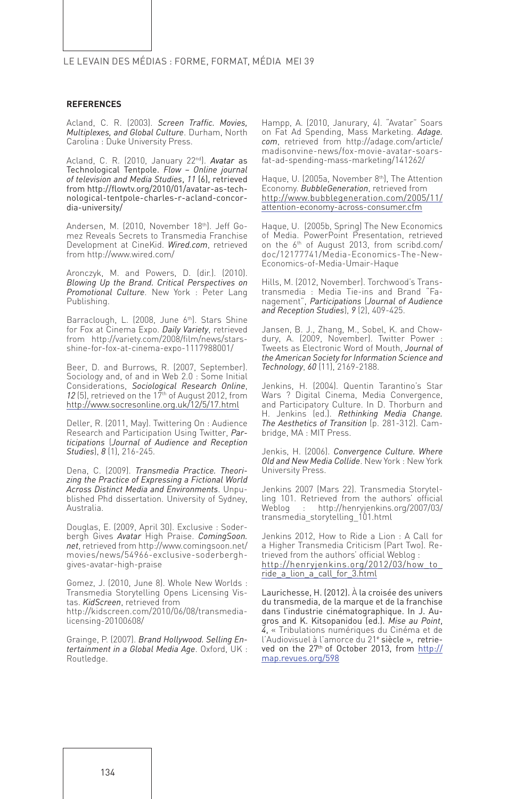#### **REFERENCES**

Acland, C. R. (2003). *Screen Traffic. Movies, Multiplexes, and Global Culture*. Durham, North Carolina : Duke University Press.

Acland, C. R. (2010, January 22nd). *Avatar* as Technological Tentpole. *Flow – Online journal of television and Media Studies*, *11* (6), retrieved from http://flowtv.org/2010/01/avatar-as-technological-tentpole-charles-r-acland-concordia-university/

Andersen, M. (2010, November 18th). Jeff Gomez Reveals Secrets to Transmedia Franchise Development at CineKid. *Wired.com*, retrieved from http://www.wired.com/

Aronczyk, M. and Powers, D. (dir.). (2010). *Blowing Up the Brand. Critical Perspectives on Promotional Culture*. New York : Peter Lang Publishing.

Barraclough, L. (2008, June 6th). Stars Shine for Fox at Cinema Expo. *Daily Variety*, retrieved from http://variety.com/2008/film/news/starsshine-for-fox-at-cinema-expo-1117988001/

Beer, D. and Burrows, R. (2007, September). Sociology and, of and in Web 2.0 : Some Initial Considerations, *Sociological Research Online*, 12 (5), retrieved on the 17<sup>th</sup> of August 2012, from http://www.socresonline.org.uk/12/5/17.html

Deller, R. (2011, May). Twittering On : Audience Research and Participation Using Twitter, *Participations* (*Journal of Audience and Reception Studies*), *8* (1), 216-245.

Dena, C. (2009). *Transmedia Practice. Theorizing the Practice of Expressing a Fictional World Across Distinct Media and Environments*. Unpublished Phd dissertation. University of Sydney, Australia.

Douglas, E. (2009, April 30). Exclusive : Soderbergh Gives *Avatar* High Praise. *ComingSoon. net*, retrieved from http://www.comingsoon.net/ movies/news/54966-exclusive-soderberghgives-avatar-high-praise

Gomez, J. (2010, June 8). Whole New Worlds : Transmedia Storytelling Opens Licensing Vistas. *KidScreen*, retrieved from

http://kidscreen.com/2010/06/08/transmedialicensing-20100608/

Grainge, P. (2007). *Brand Hollywood. Selling Entertainment in a Global Media Age*. Oxford, UK : Routledge.

Hampp, A. (2010, Janurary, 4). "Avatar" Soars on Fat Ad Spending, Mass Marketing. *Adage. com*, retrieved from http://adage.com/article/ madisonvine-news/fox-movie-avatar-soarsfat-ad-spending-mass-marketing/141262/

Haque, U. (2005a, November 8<sup>th</sup>), The Attention Economy. *BubbleGeneration*, retrieved from http://www.bubblegeneration.com/2005/11/ attention-economy-across-consumer.cfm

Haque, U. (2005b, Spring) The New Economics of Media. PowerPoint Presentation, retrieved on the 6th of August 2013, from scribd.com/ doc/12177741/Media-Economics-The-New-Economics-of-Media-Umair-Haque

Hills, M. (2012, November). Torchwood's Transtransmedia : Media Tie-ins and Brand "Fanagement", *Participations* (*Journal of Audience and Reception Studies*), *9* (2), 409-425.

Jansen, B. J., Zhang, M., Sobel, K. and Chowdury, A. (2009, November). Twitter Power Tweets as Electronic Word of Mouth, *Journal of the American Society for Information Science and Technology*, *60* (11), 2169-2188.

Jenkins, H. (2004). Quentin Tarantino's Star Wars ? Digital Cinema, Media Convergence, and Participatory Culture. In D. Thorburn and H. Jenkins (ed.). *Rethinking Media Change. The Aesthetics of Transition* (p. 281-312). Cambridge, MA : MIT Press.

Jenkis, H. (2006). *Convergence Culture. Where Old and New Media Collide*. New York : New York University Press.

Jenkins 2007 (Mars 22). Transmedia Storytelling 101. Retrieved from the authors' official Weblog : http://henryjenkins.org/2007/03/ transmedia\_storytelling\_101.html

Jenkins 2012, How to Ride a Lion : A Call for a Higher Transmedia Criticism (Part Two). Retrieved from the authors' official Weblog : http://henryjenkins.org/2012/03/how\_to\_ ride\_a\_lion\_a\_call\_for\_3.html

Laurichesse, H. (2012). À la croisée des univers du transmedia, de la marque et de la franchise dans l'industrie cinématographique. In J. Augros and K. Kitsopanidou (ed.). *Mise au Point*, *4*, « Tribulations numériques du Cinéma et de l'Audiovisuel à l'amorce du 21<sup>e</sup> siècle », retrieved on the 27th of October 2013, from http:// map.revues.org/598